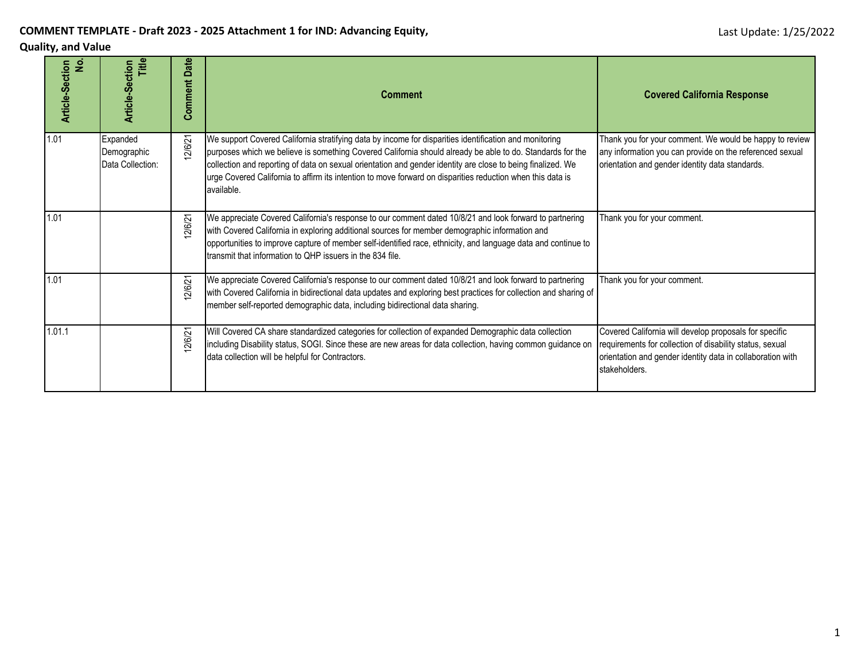#### **COMMENT TEMPLATE - Draft 2023 - 2025 Attachment 1 for IND: Advancing Equity,**

#### **Quality, and Value**

| ۊ<br>Article-Section | Article-Section<br>Title                    | Date<br>Comment | <b>Comment</b>                                                                                                                                                                                                                                                                                                                                                                                                                                                 | <b>Covered California Response</b>                                                                                                                                                                |
|----------------------|---------------------------------------------|-----------------|----------------------------------------------------------------------------------------------------------------------------------------------------------------------------------------------------------------------------------------------------------------------------------------------------------------------------------------------------------------------------------------------------------------------------------------------------------------|---------------------------------------------------------------------------------------------------------------------------------------------------------------------------------------------------|
| 1.01                 | Expanded<br>Demographic<br>Data Collection: | 2/6/21          | We support Covered California stratifying data by income for disparities identification and monitoring<br>purposes which we believe is something Covered California should already be able to do. Standards for the<br>collection and reporting of data on sexual orientation and gender identity are close to being finalized. We<br>urge Covered California to affirm its intention to move forward on disparities reduction when this data is<br>available. | Thank you for your comment. We would be happy to review<br>any information you can provide on the referenced sexual<br>orientation and gender identity data standards.                            |
| 1.01                 |                                             | 2/6/21          | We appreciate Covered California's response to our comment dated 10/8/21 and look forward to partnering<br>with Covered California in exploring additional sources for member demographic information and<br>opportunities to improve capture of member self-identified race, ethnicity, and language data and continue to<br>transmit that information to QHP issuers in the 834 file.                                                                        | Thank you for your comment.                                                                                                                                                                       |
| 1.01                 |                                             | 2/6/21          | We appreciate Covered California's response to our comment dated 10/8/21 and look forward to partnering<br>with Covered California in bidirectional data updates and exploring best practices for collection and sharing of<br>member self-reported demographic data, including bidirectional data sharing.                                                                                                                                                    | Thank you for your comment.                                                                                                                                                                       |
| 1.01.1               |                                             | 2/6/21          | Will Covered CA share standardized categories for collection of expanded Demographic data collection<br>including Disability status, SOGI. Since these are new areas for data collection, having common guidance on<br>data collection will be helpful for Contractors.                                                                                                                                                                                        | Covered California will develop proposals for specific<br>requirements for collection of disability status, sexual<br>orientation and gender identity data in collaboration with<br>stakeholders. |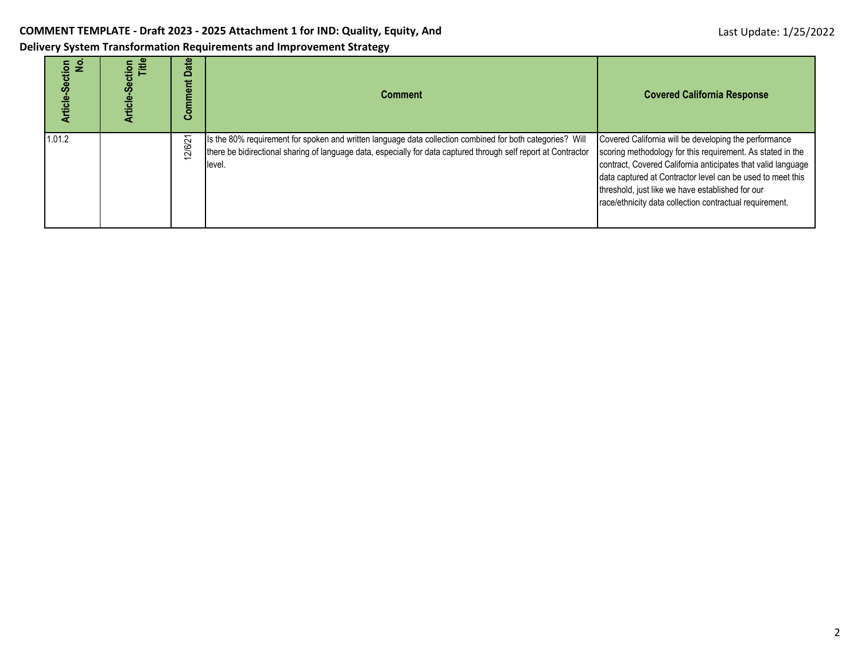ا ا

п

| Delivery System Transformation Requirements and Improvement Strategy |  |  |  |  |  |  |  |
|----------------------------------------------------------------------|--|--|--|--|--|--|--|
|                                                                      |  |  |  |  |  |  |  |

| rticle-Section<br>$\frac{9}{2}$ | itle<br>tion<br>ഗ<br>.rticle- | ate<br>۵<br>Comment | <b>Comment</b>                                                                                                                                                                                                                          | <b>Covered California Response</b>                                                                                                                                                                                                                                                                                                                               |
|---------------------------------|-------------------------------|---------------------|-----------------------------------------------------------------------------------------------------------------------------------------------------------------------------------------------------------------------------------------|------------------------------------------------------------------------------------------------------------------------------------------------------------------------------------------------------------------------------------------------------------------------------------------------------------------------------------------------------------------|
| 1.01.2                          |                               | 12/6/21             | Is the 80% requirement for spoken and written language data collection combined for both categories? Will<br>there be bidirectional sharing of language data, especially for data captured through self report at Contractor<br>llevel. | Covered California will be developing the performance<br>scoring methodology for this requirement. As stated in the<br>contract, Covered California anticipates that valid language<br>data captured at Contractor level can be used to meet this<br>threshold, just like we have established for our<br>race/ethnicity data collection contractual requirement. |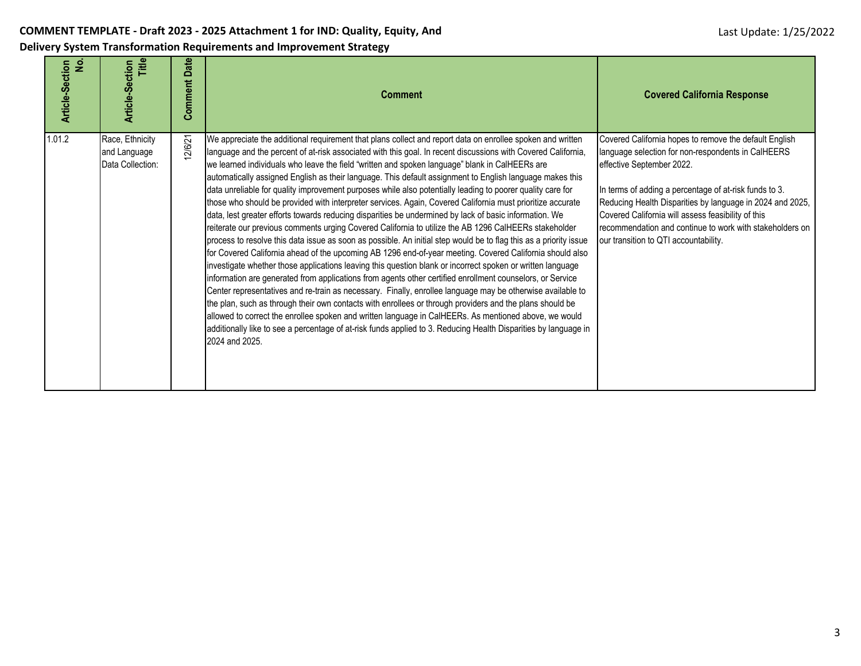| ۊ<br>Article-Section | Title<br><b>Article-Section</b>                     | <b>Comment Date</b> | <b>Comment</b>                                                                                                                                                                                                                                                                                                                                                                                                                                                                                                                                                                                                                                                                                                                                                                                                                                                                                                                                                                                                                                                                                                                                                                                                                                                                                                                                                                                                                                                                                                                                                                                                                                                                                                                                                                                                               | <b>Covered California Response</b>                                                                                                                                                                                                                                                                                                                                                                                          |
|----------------------|-----------------------------------------------------|---------------------|------------------------------------------------------------------------------------------------------------------------------------------------------------------------------------------------------------------------------------------------------------------------------------------------------------------------------------------------------------------------------------------------------------------------------------------------------------------------------------------------------------------------------------------------------------------------------------------------------------------------------------------------------------------------------------------------------------------------------------------------------------------------------------------------------------------------------------------------------------------------------------------------------------------------------------------------------------------------------------------------------------------------------------------------------------------------------------------------------------------------------------------------------------------------------------------------------------------------------------------------------------------------------------------------------------------------------------------------------------------------------------------------------------------------------------------------------------------------------------------------------------------------------------------------------------------------------------------------------------------------------------------------------------------------------------------------------------------------------------------------------------------------------------------------------------------------------|-----------------------------------------------------------------------------------------------------------------------------------------------------------------------------------------------------------------------------------------------------------------------------------------------------------------------------------------------------------------------------------------------------------------------------|
| 1.01.2               | Race, Ethnicity<br>and Language<br>Data Collection: | 2/6/21              | We appreciate the additional requirement that plans collect and report data on enrollee spoken and written<br>language and the percent of at-risk associated with this goal. In recent discussions with Covered California,<br>we learned individuals who leave the field "written and spoken language" blank in CalHEERs are<br>automatically assigned English as their language. This default assignment to English language makes this<br>data unreliable for quality improvement purposes while also potentially leading to poorer quality care for<br>those who should be provided with interpreter services. Again, Covered California must prioritize accurate<br>data, lest greater efforts towards reducing disparities be undermined by lack of basic information. We<br>reiterate our previous comments urging Covered California to utilize the AB 1296 CalHEERs stakeholder<br>process to resolve this data issue as soon as possible. An initial step would be to flag this as a priority issue<br>for Covered California ahead of the upcoming AB 1296 end-of-year meeting. Covered California should also<br>investigate whether those applications leaving this question blank or incorrect spoken or written language<br>information are generated from applications from agents other certified enrollment counselors, or Service<br>Center representatives and re-train as necessary. Finally, enrollee language may be otherwise available to<br>the plan, such as through their own contacts with enrollees or through providers and the plans should be<br>allowed to correct the enrollee spoken and written language in CalHEERs. As mentioned above, we would<br>additionally like to see a percentage of at-risk funds applied to 3. Reducing Health Disparities by language in<br>2024 and 2025. | Covered California hopes to remove the default English<br>language selection for non-respondents in CalHEERS<br>effective September 2022.<br>In terms of adding a percentage of at-risk funds to 3.<br>Reducing Health Disparities by language in 2024 and 2025,<br>Covered California will assess feasibility of this<br>recommendation and continue to work with stakeholders on<br>our transition to QTI accountability. |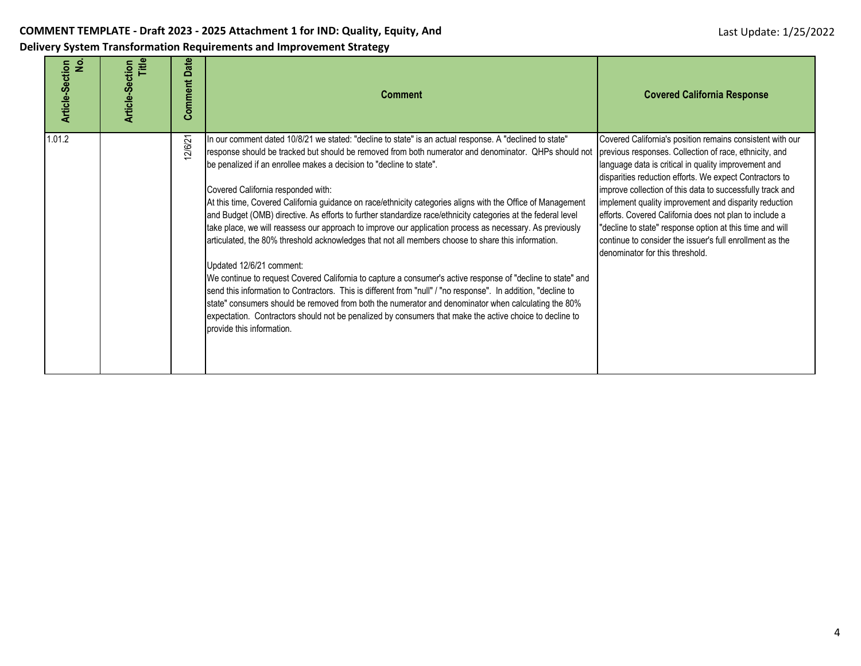| ۊ<br>Article-Section | Title<br>Article-Section | Date<br>Comment | <b>Comment</b>                                                                                                                                                                                                                                                                                                                                                                                                                                                                                                                                                                                                                                                                                                                                                                                                                                                                                                                                                                                                                                                                                                                                                                                                                                                                            | <b>Covered California Response</b>                                                                                                                                                                                                                                                                                                                                                                                                                                                                                                                                                |
|----------------------|--------------------------|-----------------|-------------------------------------------------------------------------------------------------------------------------------------------------------------------------------------------------------------------------------------------------------------------------------------------------------------------------------------------------------------------------------------------------------------------------------------------------------------------------------------------------------------------------------------------------------------------------------------------------------------------------------------------------------------------------------------------------------------------------------------------------------------------------------------------------------------------------------------------------------------------------------------------------------------------------------------------------------------------------------------------------------------------------------------------------------------------------------------------------------------------------------------------------------------------------------------------------------------------------------------------------------------------------------------------|-----------------------------------------------------------------------------------------------------------------------------------------------------------------------------------------------------------------------------------------------------------------------------------------------------------------------------------------------------------------------------------------------------------------------------------------------------------------------------------------------------------------------------------------------------------------------------------|
| 1.01.2               |                          | 2/6/21          | In our comment dated 10/8/21 we stated: "decline to state" is an actual response. A "declined to state"<br>response should be tracked but should be removed from both numerator and denominator. QHPs should not<br>be penalized if an enrollee makes a decision to "decline to state".<br>Covered California responded with:<br>At this time, Covered California guidance on race/ethnicity categories aligns with the Office of Management<br>and Budget (OMB) directive. As efforts to further standardize race/ethnicity categories at the federal level<br>take place, we will reassess our approach to improve our application process as necessary. As previously<br>articulated, the 80% threshold acknowledges that not all members choose to share this information.<br>Updated 12/6/21 comment:<br>We continue to request Covered California to capture a consumer's active response of "decline to state" and<br>send this information to Contractors. This is different from "null" / "no response". In addition, "decline to<br>state" consumers should be removed from both the numerator and denominator when calculating the 80%<br>expectation. Contractors should not be penalized by consumers that make the active choice to decline to<br>provide this information. | Covered California's position remains consistent with our<br>previous responses. Collection of race, ethnicity, and<br>language data is critical in quality improvement and<br>disparities reduction efforts. We expect Contractors to<br>improve collection of this data to successfully track and<br>implement quality improvement and disparity reduction<br>efforts. Covered California does not plan to include a<br>"decline to state" response option at this time and will<br>continue to consider the issuer's full enrollment as the<br>denominator for this threshold. |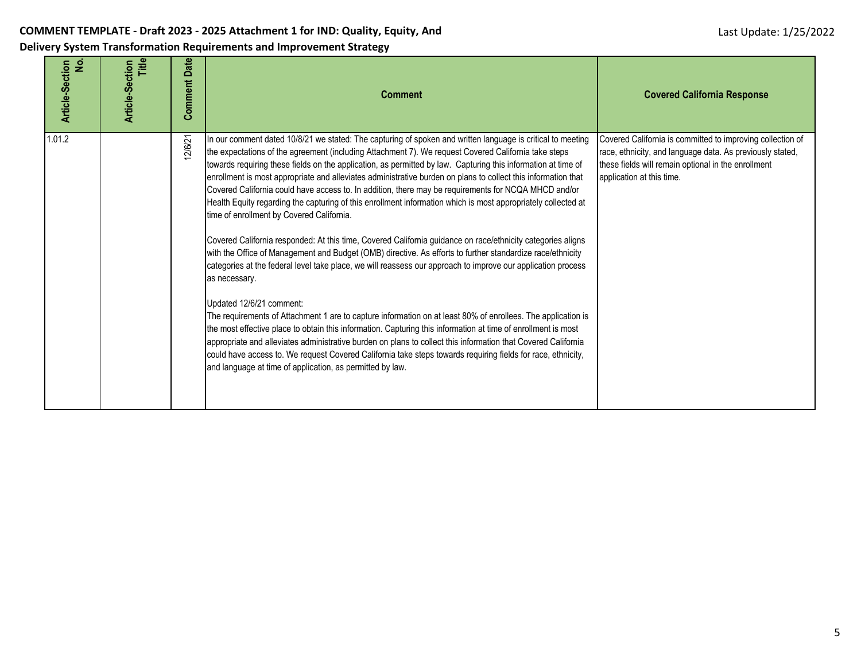| ۊ<br>Article-Section | Title<br>Article-Section | Date<br>Comment | <b>Comment</b>                                                                                                                                                                                                                                                                                                                                                                                                                                                                                                                                                                                                                                                                                                                                                                                                                                                                                                                                                                                                                                                                                                                                                                                                                                                                                                                                                                                                                                                                                                                                                                                                                                       | <b>Covered California Response</b>                                                                                                                                                                          |
|----------------------|--------------------------|-----------------|------------------------------------------------------------------------------------------------------------------------------------------------------------------------------------------------------------------------------------------------------------------------------------------------------------------------------------------------------------------------------------------------------------------------------------------------------------------------------------------------------------------------------------------------------------------------------------------------------------------------------------------------------------------------------------------------------------------------------------------------------------------------------------------------------------------------------------------------------------------------------------------------------------------------------------------------------------------------------------------------------------------------------------------------------------------------------------------------------------------------------------------------------------------------------------------------------------------------------------------------------------------------------------------------------------------------------------------------------------------------------------------------------------------------------------------------------------------------------------------------------------------------------------------------------------------------------------------------------------------------------------------------------|-------------------------------------------------------------------------------------------------------------------------------------------------------------------------------------------------------------|
| 1.01.2               |                          | 2/6/21          | In our comment dated 10/8/21 we stated: The capturing of spoken and written language is critical to meeting<br>the expectations of the agreement (including Attachment 7). We request Covered California take steps<br>towards requiring these fields on the application, as permitted by law. Capturing this information at time of<br>enrollment is most appropriate and alleviates administrative burden on plans to collect this information that<br>Covered California could have access to. In addition, there may be requirements for NCQA MHCD and/or<br>Health Equity regarding the capturing of this enrollment information which is most appropriately collected at<br>time of enrollment by Covered California.<br>Covered California responded: At this time, Covered California guidance on race/ethnicity categories aligns<br>with the Office of Management and Budget (OMB) directive. As efforts to further standardize race/ethnicity<br>categories at the federal level take place, we will reassess our approach to improve our application process<br>as necessary.<br>Updated 12/6/21 comment:<br>The requirements of Attachment 1 are to capture information on at least 80% of enrollees. The application is<br>the most effective place to obtain this information. Capturing this information at time of enrollment is most<br>appropriate and alleviates administrative burden on plans to collect this information that Covered California<br>could have access to. We request Covered California take steps towards requiring fields for race, ethnicity,<br>and language at time of application, as permitted by law. | Covered California is committed to improving collection of<br>race, ethnicity, and language data. As previously stated,<br>these fields will remain optional in the enrollment<br>application at this time. |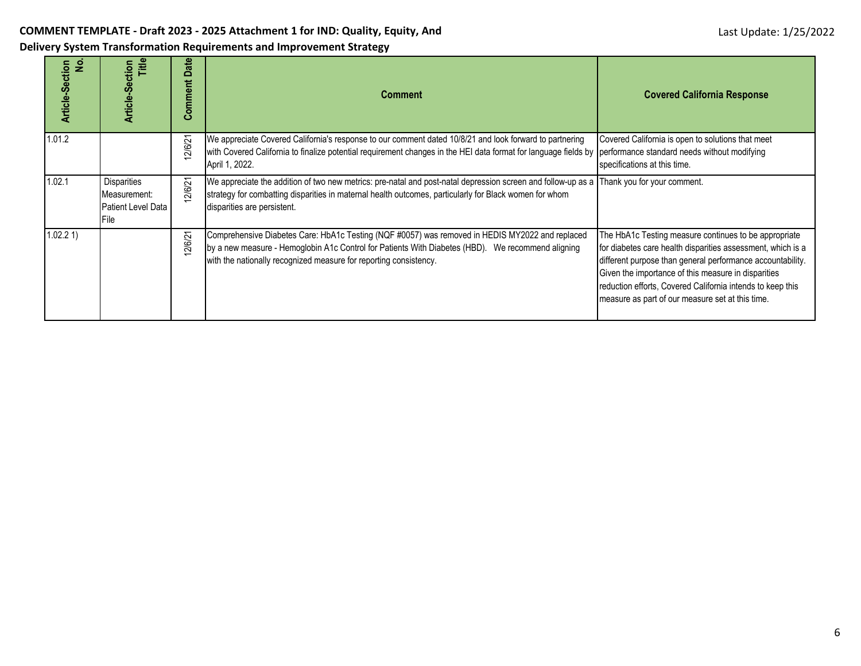| Delivery System Transformation Requirements and Improvement Strategy |  |  |  |
|----------------------------------------------------------------------|--|--|--|
|                                                                      |  |  |  |

| Article-Section<br>$\overline{2}$ | Title<br>Article-Section                                                        | ate<br>≏<br>Comment | <b>Comment</b>                                                                                                                                                                                                                                                                            | <b>Covered California Response</b>                                                                                                                                                                                                                                                                                                                          |
|-----------------------------------|---------------------------------------------------------------------------------|---------------------|-------------------------------------------------------------------------------------------------------------------------------------------------------------------------------------------------------------------------------------------------------------------------------------------|-------------------------------------------------------------------------------------------------------------------------------------------------------------------------------------------------------------------------------------------------------------------------------------------------------------------------------------------------------------|
| 1.01.2                            |                                                                                 | 2/6/21              | We appreciate Covered California's response to our comment dated 10/8/21 and look forward to partnering<br>with Covered California to finalize potential requirement changes in the HEI data format for language fields by performance standard needs without modifying<br>April 1, 2022. | Covered California is open to solutions that meet<br>specifications at this time.                                                                                                                                                                                                                                                                           |
| 1.02.1                            | <b>Disparities</b><br>Measurement:<br><b>Patient Level Data</b><br><b>IFile</b> | 2/6/21              | We appreciate the addition of two new metrics: pre-natal and post-natal depression screen and follow-up as a Thank you for your comment.<br>strategy for combatting disparities in maternal health outcomes, particularly for Black women for whom<br>disparities are persistent.         |                                                                                                                                                                                                                                                                                                                                                             |
| 1.02.2 1)                         |                                                                                 | 2/6/21              | Comprehensive Diabetes Care: HbA1c Testing (NQF #0057) was removed in HEDIS MY2022 and replaced<br>by a new measure - Hemoglobin A1c Control for Patients With Diabetes (HBD). We recommend aligning<br>with the nationally recognized measure for reporting consistency.                 | The HbA1c Testing measure continues to be appropriate<br>for diabetes care health disparities assessment, which is a<br>different purpose than general performance accountability.<br>Given the importance of this measure in disparities<br>reduction efforts, Covered California intends to keep this<br>measure as part of our measure set at this time. |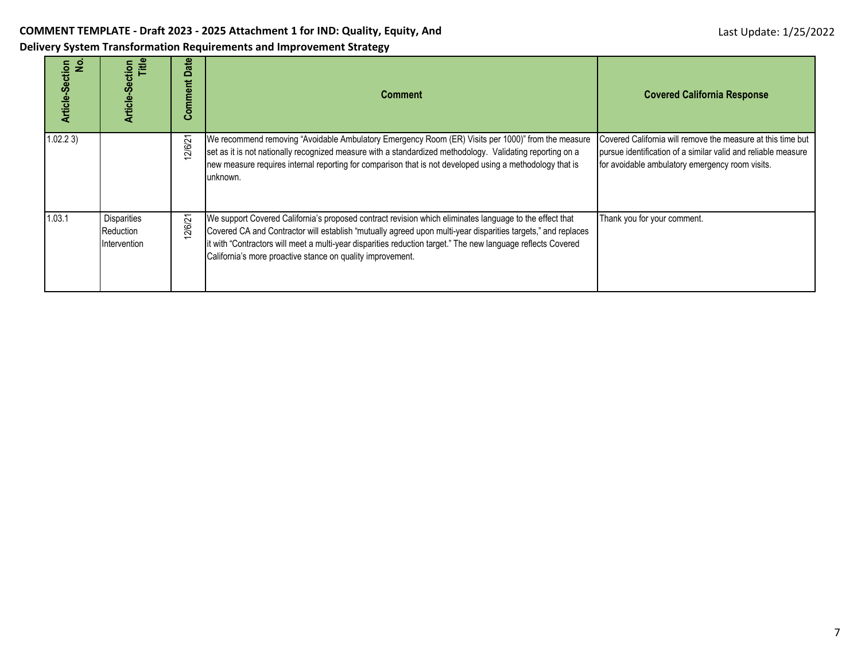| Article-Section<br>ş | Title<br>Article-Section                        | Date<br>Comment | Comment                                                                                                                                                                                                                                                                                                                                                                                               | <b>Covered California Response</b>                                                                                                                                              |
|----------------------|-------------------------------------------------|-----------------|-------------------------------------------------------------------------------------------------------------------------------------------------------------------------------------------------------------------------------------------------------------------------------------------------------------------------------------------------------------------------------------------------------|---------------------------------------------------------------------------------------------------------------------------------------------------------------------------------|
| 1.02.23              |                                                 | 12/6/21         | We recommend removing "Avoidable Ambulatory Emergency Room (ER) Visits per 1000)" from the measure<br>set as it is not nationally recognized measure with a standardized methodology. Validating reporting on a<br>new measure requires internal reporting for comparison that is not developed using a methodology that is<br>unknown.                                                               | Covered California will remove the measure at this time but<br>pursue identification of a similar valid and reliable measure<br>for avoidable ambulatory emergency room visits. |
| 1.03.1               | <b>Disparities</b><br>Reduction<br>Intervention | 12/6/21         | We support Covered California's proposed contract revision which eliminates language to the effect that<br>Covered CA and Contractor will establish "mutually agreed upon multi-year disparities targets," and replaces<br>it with "Contractors will meet a multi-year disparities reduction target." The new language reflects Covered<br>California's more proactive stance on quality improvement. | Thank you for your comment.                                                                                                                                                     |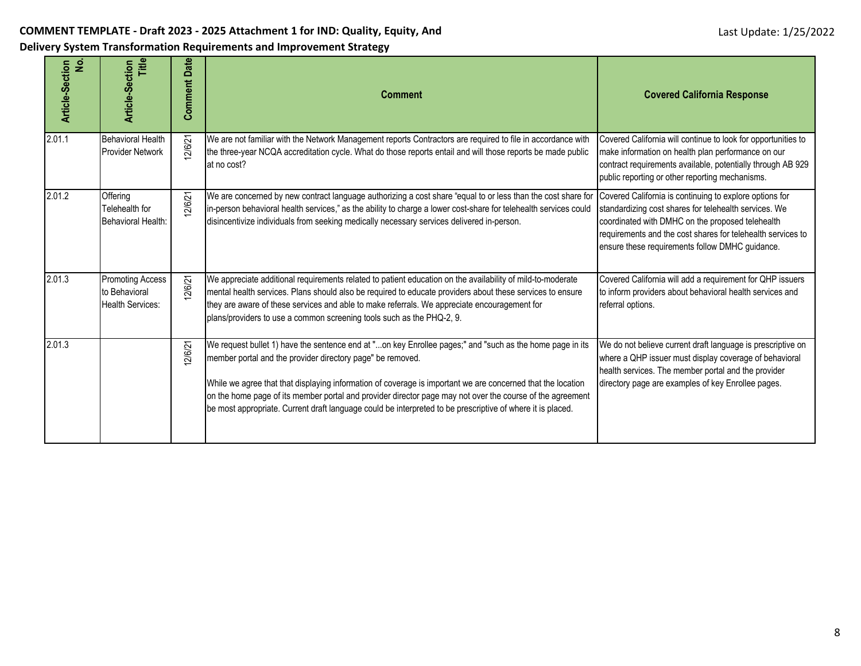**Delivery System Transformation Requirements and Improvement Strategy**

| <u>ي</u><br>Article-Section | Title<br>Article-Section                                     | <b>Comment Date</b> | <b>Comment</b>                                                                                                                                                                                                                                                                                                                                                                                                                                                                                                   | <b>Covered California Response</b>                                                                                                                                                                                                                                                     |
|-----------------------------|--------------------------------------------------------------|---------------------|------------------------------------------------------------------------------------------------------------------------------------------------------------------------------------------------------------------------------------------------------------------------------------------------------------------------------------------------------------------------------------------------------------------------------------------------------------------------------------------------------------------|----------------------------------------------------------------------------------------------------------------------------------------------------------------------------------------------------------------------------------------------------------------------------------------|
| 2.01.1                      | <b>Behavioral Health</b><br>Provider Network                 | 2/6/21              | We are not familiar with the Network Management reports Contractors are required to file in accordance with<br>the three-year NCQA accreditation cycle. What do those reports entail and will those reports be made public<br>at no cost?                                                                                                                                                                                                                                                                        | Covered California will continue to look for opportunities to<br>make information on health plan performance on our<br>contract requirements available, potentially through AB 929<br>public reporting or other reporting mechanisms.                                                  |
| 2.01.2                      | Offering<br>Telehealth for<br>Behavioral Health:             | 2/6/21              | We are concerned by new contract language authorizing a cost share "equal to or less than the cost share for<br>in-person behavioral health services," as the ability to charge a lower cost-share for telehealth services could<br>disincentivize individuals from seeking medically necessary services delivered in-person.                                                                                                                                                                                    | Covered California is continuing to explore options for<br>standardizing cost shares for telehealth services. We<br>coordinated with DMHC on the proposed telehealth<br>requirements and the cost shares for telehealth services to<br>ensure these requirements follow DMHC guidance. |
| 2.01.3                      | Promoting Access<br>to Behavioral<br><b>Health Services:</b> | 12/6/21             | We appreciate additional requirements related to patient education on the availability of mild-to-moderate<br>mental health services. Plans should also be required to educate providers about these services to ensure<br>they are aware of these services and able to make referrals. We appreciate encouragement for<br>plans/providers to use a common screening tools such as the PHQ-2, 9.                                                                                                                 | Covered California will add a requirement for QHP issuers<br>to inform providers about behavioral health services and<br>referral options.                                                                                                                                             |
| 2.01.3                      |                                                              | 12/6/21             | We request bullet 1) have the sentence end at "on key Enrollee pages;" and "such as the home page in its<br>member portal and the provider directory page" be removed.<br>While we agree that that displaying information of coverage is important we are concerned that the location<br>on the home page of its member portal and provider director page may not over the course of the agreement<br>be most appropriate. Current draft language could be interpreted to be prescriptive of where it is placed. | We do not believe current draft language is prescriptive on<br>where a QHP issuer must display coverage of behavioral<br>health services. The member portal and the provider<br>directory page are examples of key Enrollee pages.                                                     |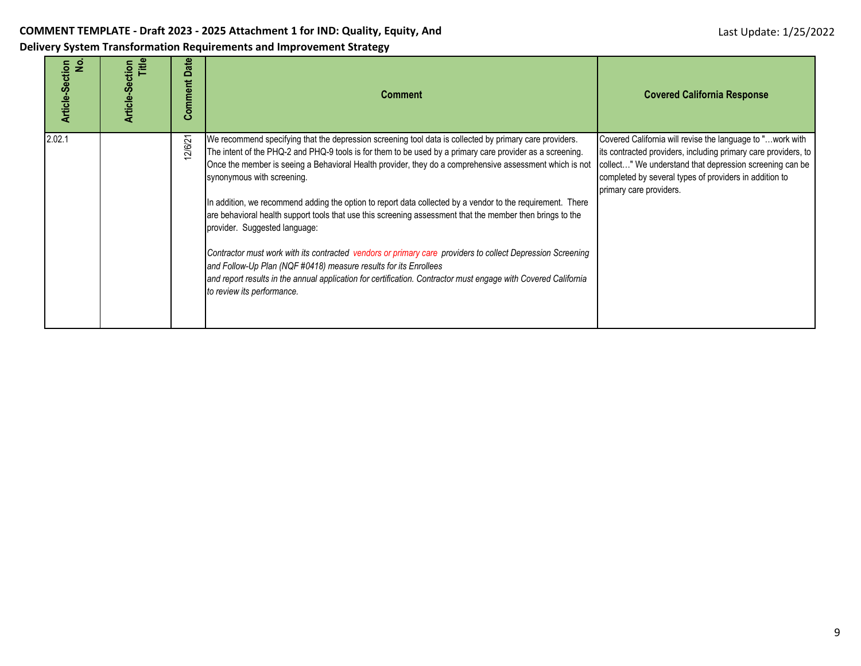| $\dot{z}$<br>Article-Section | Article-Section<br>Title | Date<br>Comment | <b>Comment</b>                                                                                                                                                                                                                                                                                                                                                                                                                                                                                                                                                                                                                                                                                                                                                                                                                                                                                                                                              | <b>Covered California Response</b>                                                                                                                                                                                                                                           |
|------------------------------|--------------------------|-----------------|-------------------------------------------------------------------------------------------------------------------------------------------------------------------------------------------------------------------------------------------------------------------------------------------------------------------------------------------------------------------------------------------------------------------------------------------------------------------------------------------------------------------------------------------------------------------------------------------------------------------------------------------------------------------------------------------------------------------------------------------------------------------------------------------------------------------------------------------------------------------------------------------------------------------------------------------------------------|------------------------------------------------------------------------------------------------------------------------------------------------------------------------------------------------------------------------------------------------------------------------------|
| 2.02.1                       |                          | 12/6/21         | We recommend specifying that the depression screening tool data is collected by primary care providers.<br>The intent of the PHQ-2 and PHQ-9 tools is for them to be used by a primary care provider as a screening.<br>Once the member is seeing a Behavioral Health provider, they do a comprehensive assessment which is not<br>synonymous with screening.<br>In addition, we recommend adding the option to report data collected by a vendor to the requirement. There<br>are behavioral health support tools that use this screening assessment that the member then brings to the<br>provider. Suggested language:<br>Contractor must work with its contracted vendors or primary care providers to collect Depression Screening<br>and Follow-Up Plan (NQF #0418) measure results for its Enrollees<br>and report results in the annual application for certification. Contractor must engage with Covered California<br>to review its performance. | Covered California will revise the language to " work with<br>its contracted providers, including primary care providers, to<br>collect" We understand that depression screening can be<br>completed by several types of providers in addition to<br>primary care providers. |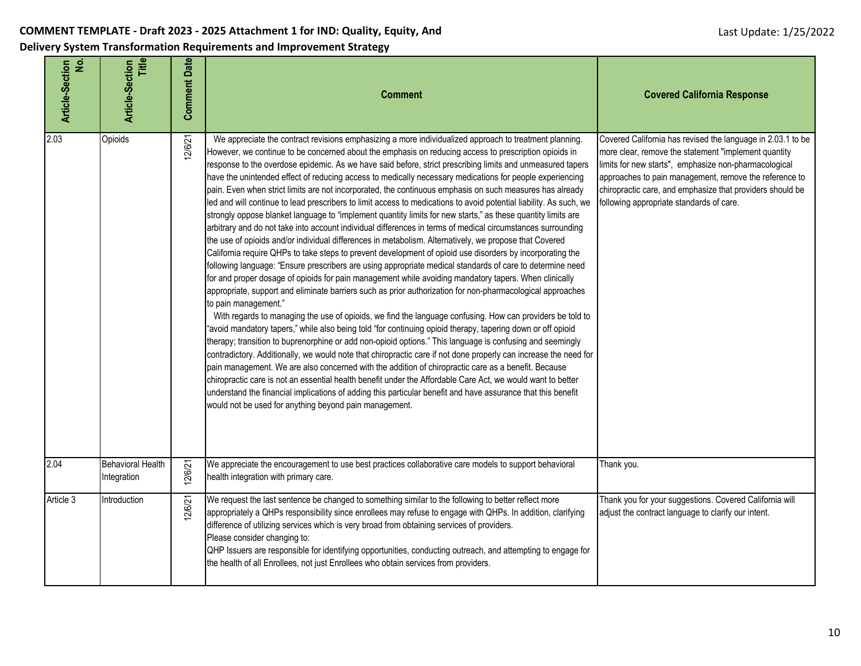| <u>ٰء</u><br><b>Article-Section</b> | <b>Article-Section</b><br>Title         | <b>Comment Date</b> | <b>Comment</b>                                                                                                                                                                                                                                                                                                                                                                                                                                                                                                                                                                                                                                                                                                                                                                                                                                                                                                                                                                                                                                                                                                                                                                                                                                                                                                                                                                                                                                                                                                                                                                                                                                                                                                                                                                                                                                                                                                                                                                                                                                                                                                                                                                                                                                                                                                                                             | <b>Covered California Response</b>                                                                                                                                                                                                                                                                                                              |
|-------------------------------------|-----------------------------------------|---------------------|------------------------------------------------------------------------------------------------------------------------------------------------------------------------------------------------------------------------------------------------------------------------------------------------------------------------------------------------------------------------------------------------------------------------------------------------------------------------------------------------------------------------------------------------------------------------------------------------------------------------------------------------------------------------------------------------------------------------------------------------------------------------------------------------------------------------------------------------------------------------------------------------------------------------------------------------------------------------------------------------------------------------------------------------------------------------------------------------------------------------------------------------------------------------------------------------------------------------------------------------------------------------------------------------------------------------------------------------------------------------------------------------------------------------------------------------------------------------------------------------------------------------------------------------------------------------------------------------------------------------------------------------------------------------------------------------------------------------------------------------------------------------------------------------------------------------------------------------------------------------------------------------------------------------------------------------------------------------------------------------------------------------------------------------------------------------------------------------------------------------------------------------------------------------------------------------------------------------------------------------------------------------------------------------------------------------------------------------------------|-------------------------------------------------------------------------------------------------------------------------------------------------------------------------------------------------------------------------------------------------------------------------------------------------------------------------------------------------|
| 2.03                                | Opioids                                 | 12/6/21             | We appreciate the contract revisions emphasizing a more individualized approach to treatment planning.<br>However, we continue to be concerned about the emphasis on reducing access to prescription opioids in<br>response to the overdose epidemic. As we have said before, strict prescribing limits and unmeasured tapers<br>have the unintended effect of reducing access to medically necessary medications for people experiencing<br>pain. Even when strict limits are not incorporated, the continuous emphasis on such measures has already<br>led and will continue to lead prescribers to limit access to medications to avoid potential liability. As such, we<br>strongly oppose blanket language to "implement quantity limits for new starts," as these quantity limits are<br>arbitrary and do not take into account individual differences in terms of medical circumstances surrounding<br>the use of opioids and/or individual differences in metabolism. Alternatively, we propose that Covered<br>California require QHPs to take steps to prevent development of opioid use disorders by incorporating the<br>following language: "Ensure prescribers are using appropriate medical standards of care to determine need<br>for and proper dosage of opioids for pain management while avoiding mandatory tapers. When clinically<br>appropriate, support and eliminate barriers such as prior authorization for non-pharmacological approaches<br>to pain management."<br>With regards to managing the use of opioids, we find the language confusing. How can providers be told to<br>"avoid mandatory tapers," while also being told "for continuing opioid therapy, tapering down or off opioid<br>therapy; transition to buprenorphine or add non-opioid options." This language is confusing and seemingly<br>contradictory. Additionally, we would note that chiropractic care if not done properly can increase the need for<br>pain management. We are also concerned with the addition of chiropractic care as a benefit. Because<br>chiropractic care is not an essential health benefit under the Affordable Care Act, we would want to better<br>understand the financial implications of adding this particular benefit and have assurance that this benefit<br>would not be used for anything beyond pain management. | Covered California has revised the language in 2.03.1 to be<br>more clear, remove the statement "implement quantity<br>limits for new starts", emphasize non-pharmacological<br>approaches to pain management, remove the reference to<br>chiropractic care, and emphasize that providers should be<br>following appropriate standards of care. |
| 2.04                                | <b>Behavioral Health</b><br>Integration | 12/6/21             | We appreciate the encouragement to use best practices collaborative care models to support behavioral<br>health integration with primary care.                                                                                                                                                                                                                                                                                                                                                                                                                                                                                                                                                                                                                                                                                                                                                                                                                                                                                                                                                                                                                                                                                                                                                                                                                                                                                                                                                                                                                                                                                                                                                                                                                                                                                                                                                                                                                                                                                                                                                                                                                                                                                                                                                                                                             | Thank you.                                                                                                                                                                                                                                                                                                                                      |
| Article 3                           | Introduction                            | 12/6/21             | We request the last sentence be changed to something similar to the following to better reflect more<br>appropriately a QHPs responsibility since enrollees may refuse to engage with QHPs. In addition, clarifying<br>difference of utilizing services which is very broad from obtaining services of providers.<br>Please consider changing to:<br>QHP Issuers are responsible for identifying opportunities, conducting outreach, and attempting to engage for<br>the health of all Enrollees, not just Enrollees who obtain services from providers.                                                                                                                                                                                                                                                                                                                                                                                                                                                                                                                                                                                                                                                                                                                                                                                                                                                                                                                                                                                                                                                                                                                                                                                                                                                                                                                                                                                                                                                                                                                                                                                                                                                                                                                                                                                                   | Thank you for your suggestions. Covered California will<br>adjust the contract language to clarify our intent.                                                                                                                                                                                                                                  |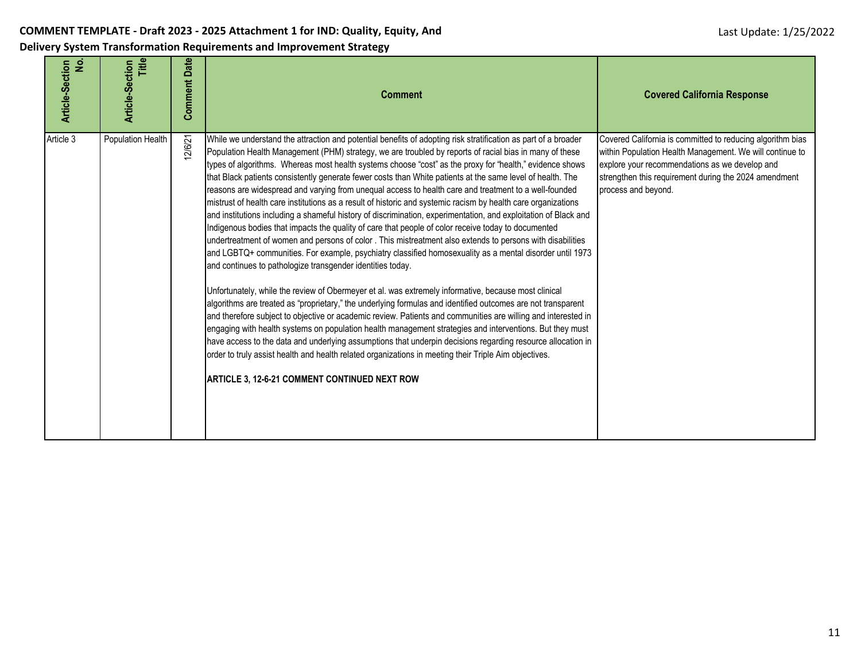| Article-Section<br>No. | Title<br>Article-Section | <b>Comment Date</b> | <b>Comment</b>                                                                                                                                                                                                                                                                                                                                                                                                                                                                                                                                                                                                                                                                                                                                                                                                                                                                                                                                                                                                                                                                                                                                                                                                                                                                                                                                                                                                                                                                                                                                                                                                                                                                                                                                                                                                                                                                                                                | <b>Covered California Response</b>                                                                                                                                                                                                                       |
|------------------------|--------------------------|---------------------|-------------------------------------------------------------------------------------------------------------------------------------------------------------------------------------------------------------------------------------------------------------------------------------------------------------------------------------------------------------------------------------------------------------------------------------------------------------------------------------------------------------------------------------------------------------------------------------------------------------------------------------------------------------------------------------------------------------------------------------------------------------------------------------------------------------------------------------------------------------------------------------------------------------------------------------------------------------------------------------------------------------------------------------------------------------------------------------------------------------------------------------------------------------------------------------------------------------------------------------------------------------------------------------------------------------------------------------------------------------------------------------------------------------------------------------------------------------------------------------------------------------------------------------------------------------------------------------------------------------------------------------------------------------------------------------------------------------------------------------------------------------------------------------------------------------------------------------------------------------------------------------------------------------------------------|----------------------------------------------------------------------------------------------------------------------------------------------------------------------------------------------------------------------------------------------------------|
| Article 3              | Population Health        | 2/6/21              | While we understand the attraction and potential benefits of adopting risk stratification as part of a broader<br>Population Health Management (PHM) strategy, we are troubled by reports of racial bias in many of these<br>types of algorithms. Whereas most health systems choose "cost" as the proxy for "health," evidence shows<br>that Black patients consistently generate fewer costs than White patients at the same level of health. The<br>reasons are widespread and varying from unequal access to health care and treatment to a well-founded<br>mistrust of health care institutions as a result of historic and systemic racism by health care organizations<br>and institutions including a shameful history of discrimination, experimentation, and exploitation of Black and<br>Indigenous bodies that impacts the quality of care that people of color receive today to documented<br>undertreatment of women and persons of color . This mistreatment also extends to persons with disabilities<br>and LGBTQ+ communities. For example, psychiatry classified homosexuality as a mental disorder until 1973<br>and continues to pathologize transgender identities today.<br>Unfortunately, while the review of Obermeyer et al. was extremely informative, because most clinical<br>algorithms are treated as "proprietary," the underlying formulas and identified outcomes are not transparent<br>and therefore subject to objective or academic review. Patients and communities are willing and interested in<br>engaging with health systems on population health management strategies and interventions. But they must<br>have access to the data and underlying assumptions that underpin decisions regarding resource allocation in<br>order to truly assist health and health related organizations in meeting their Triple Aim objectives.<br>ARTICLE 3, 12-6-21 COMMENT CONTINUED NEXT ROW | Covered California is committed to reducing algorithm bias<br>within Population Health Management. We will continue to<br>explore your recommendations as we develop and<br>strengthen this requirement during the 2024 amendment<br>process and beyond. |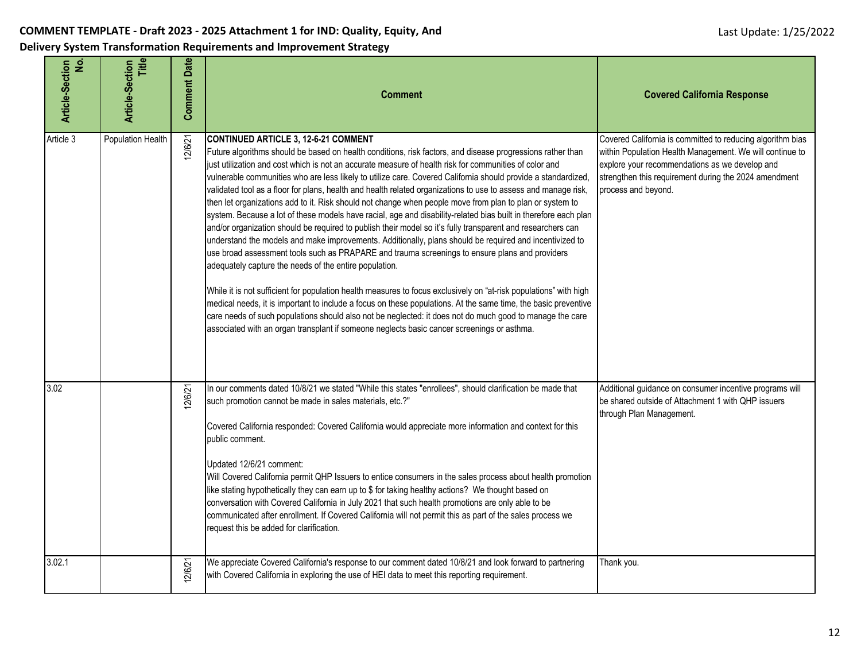|  |  |  | Delivery System Transformation Requirements and Improvement Strategy |
|--|--|--|----------------------------------------------------------------------|
|--|--|--|----------------------------------------------------------------------|

| Article-Section<br><u>ٰی</u> | Title<br><b>Article-Section</b> | <b>Comment Date</b> | <b>Comment</b>                                                                                                                                                                                                                                                                                                                                                                                                                                                                                                                                                                                                                                                                                                                                                                                                                                                                                                                                                                                                                                                                                                                                                                                                                                                                                                                                                                                                                                                                                                                                                               | <b>Covered California Response</b>                                                                                                                                                                                                                       |
|------------------------------|---------------------------------|---------------------|------------------------------------------------------------------------------------------------------------------------------------------------------------------------------------------------------------------------------------------------------------------------------------------------------------------------------------------------------------------------------------------------------------------------------------------------------------------------------------------------------------------------------------------------------------------------------------------------------------------------------------------------------------------------------------------------------------------------------------------------------------------------------------------------------------------------------------------------------------------------------------------------------------------------------------------------------------------------------------------------------------------------------------------------------------------------------------------------------------------------------------------------------------------------------------------------------------------------------------------------------------------------------------------------------------------------------------------------------------------------------------------------------------------------------------------------------------------------------------------------------------------------------------------------------------------------------|----------------------------------------------------------------------------------------------------------------------------------------------------------------------------------------------------------------------------------------------------------|
| Article 3                    | Population Health               | 12/6/21             | <b>CONTINUED ARTICLE 3, 12-6-21 COMMENT</b><br>Future algorithms should be based on health conditions, risk factors, and disease progressions rather than<br>just utilization and cost which is not an accurate measure of health risk for communities of color and<br>vulnerable communities who are less likely to utilize care. Covered California should provide a standardized,<br>validated tool as a floor for plans, health and health related organizations to use to assess and manage risk,<br>then let organizations add to it. Risk should not change when people move from plan to plan or system to<br>system. Because a lot of these models have racial, age and disability-related bias built in therefore each plan<br>and/or organization should be required to publish their model so it's fully transparent and researchers can<br>understand the models and make improvements. Additionally, plans should be required and incentivized to<br>use broad assessment tools such as PRAPARE and trauma screenings to ensure plans and providers<br>adequately capture the needs of the entire population.<br>While it is not sufficient for population health measures to focus exclusively on "at-risk populations" with high<br>medical needs, it is important to include a focus on these populations. At the same time, the basic preventive<br>care needs of such populations should also not be neglected: it does not do much good to manage the care<br>associated with an organ transplant if someone neglects basic cancer screenings or asthma. | Covered California is committed to reducing algorithm bias<br>within Population Health Management. We will continue to<br>explore your recommendations as we develop and<br>strengthen this requirement during the 2024 amendment<br>process and beyond. |
| 3.02                         |                                 | 2/6/21              | In our comments dated 10/8/21 we stated "While this states "enrollees", should clarification be made that<br>such promotion cannot be made in sales materials, etc.?"<br>Covered California responded: Covered California would appreciate more information and context for this<br>public comment.<br>Updated 12/6/21 comment:<br>Will Covered California permit QHP Issuers to entice consumers in the sales process about health promotion<br>like stating hypothetically they can earn up to \$ for taking healthy actions? We thought based on<br>conversation with Covered California in July 2021 that such health promotions are only able to be<br>communicated after enrollment. If Covered California will not permit this as part of the sales process we<br>request this be added for clarification.                                                                                                                                                                                                                                                                                                                                                                                                                                                                                                                                                                                                                                                                                                                                                            | Additional guidance on consumer incentive programs will<br>be shared outside of Attachment 1 with QHP issuers<br>through Plan Management.                                                                                                                |
| 3.02.1                       |                                 | 2/6/21              | We appreciate Covered California's response to our comment dated 10/8/21 and look forward to partnering<br>with Covered California in exploring the use of HEI data to meet this reporting requirement.                                                                                                                                                                                                                                                                                                                                                                                                                                                                                                                                                                                                                                                                                                                                                                                                                                                                                                                                                                                                                                                                                                                                                                                                                                                                                                                                                                      | Thank you.                                                                                                                                                                                                                                               |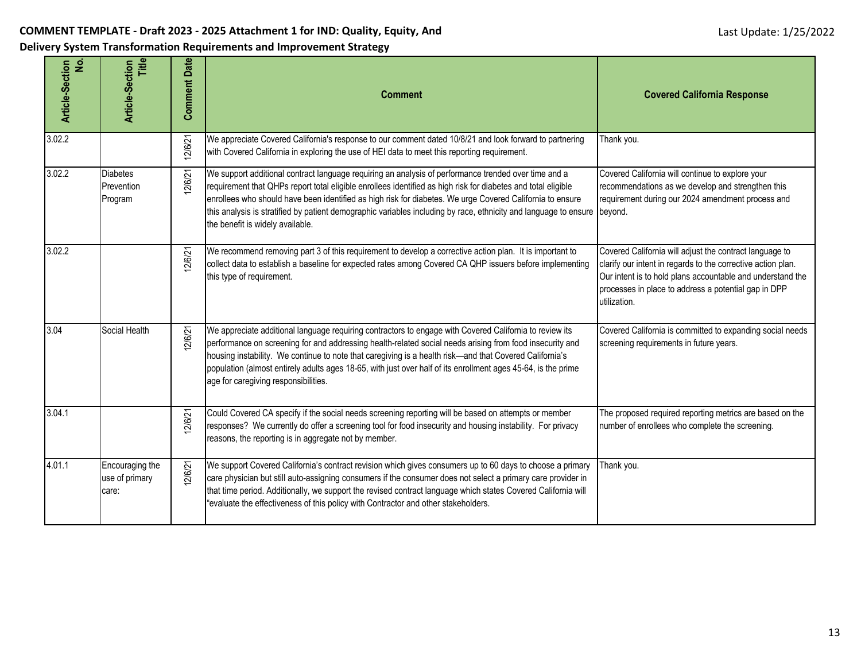| ۊ<br>Article-Section | Title<br><b>Article-Section</b>            | <b>Comment Date</b> | <b>Comment</b>                                                                                                                                                                                                                                                                                                                                                                                                                                                                                     | <b>Covered California Response</b>                                                                                                                                                                                                                            |
|----------------------|--------------------------------------------|---------------------|----------------------------------------------------------------------------------------------------------------------------------------------------------------------------------------------------------------------------------------------------------------------------------------------------------------------------------------------------------------------------------------------------------------------------------------------------------------------------------------------------|---------------------------------------------------------------------------------------------------------------------------------------------------------------------------------------------------------------------------------------------------------------|
| 3.02.2               |                                            | 12/6/21             | We appreciate Covered California's response to our comment dated 10/8/21 and look forward to partnering<br>with Covered California in exploring the use of HEI data to meet this reporting requirement.                                                                                                                                                                                                                                                                                            | Thank you.                                                                                                                                                                                                                                                    |
| 3.02.2               | <b>Diabetes</b><br>Prevention<br>Program   | 2/6/21              | We support additional contract language requiring an analysis of performance trended over time and a<br>requirement that QHPs report total eligible enrollees identified as high risk for diabetes and total eligible<br>enrollees who should have been identified as high risk for diabetes. We urge Covered California to ensure<br>this analysis is stratified by patient demographic variables including by race, ethnicity and language to ensure beyond.<br>the benefit is widely available. | Covered California will continue to explore your<br>recommendations as we develop and strengthen this<br>requirement during our 2024 amendment process and                                                                                                    |
| 3.02.2               |                                            | 12/6/21             | We recommend removing part 3 of this requirement to develop a corrective action plan. It is important to<br>collect data to establish a baseline for expected rates among Covered CA QHP issuers before implementing<br>this type of requirement.                                                                                                                                                                                                                                                  | Covered California will adjust the contract language to<br>clarify our intent in regards to the corrective action plan.<br>Our intent is to hold plans accountable and understand the<br>processes in place to address a potential gap in DPP<br>utilization. |
| 3.04                 | Social Health                              | 12/6/21             | We appreciate additional language requiring contractors to engage with Covered California to review its<br>performance on screening for and addressing health-related social needs arising from food insecurity and<br>housing instability. We continue to note that caregiving is a health risk-and that Covered California's<br>population (almost entirely adults ages 18-65, with just over half of its enrollment ages 45-64, is the prime<br>age for caregiving responsibilities.            | Covered California is committed to expanding social needs<br>screening requirements in future years.                                                                                                                                                          |
| 3.04.1               |                                            | 2/6/21              | Could Covered CA specify if the social needs screening reporting will be based on attempts or member<br>responses? We currently do offer a screening tool for food insecurity and housing instability. For privacy<br>reasons, the reporting is in aggregate not by member.                                                                                                                                                                                                                        | The proposed required reporting metrics are based on the<br>number of enrollees who complete the screening.                                                                                                                                                   |
| 4.01.1               | Encouraging the<br>use of primary<br>care: | 2/6/21              | We support Covered California's contract revision which gives consumers up to 60 days to choose a primary<br>care physician but still auto-assigning consumers if the consumer does not select a primary care provider in<br>that time period. Additionally, we support the revised contract language which states Covered California will<br>"evaluate the effectiveness of this policy with Contractor and other stakeholders.                                                                   | Thank you.                                                                                                                                                                                                                                                    |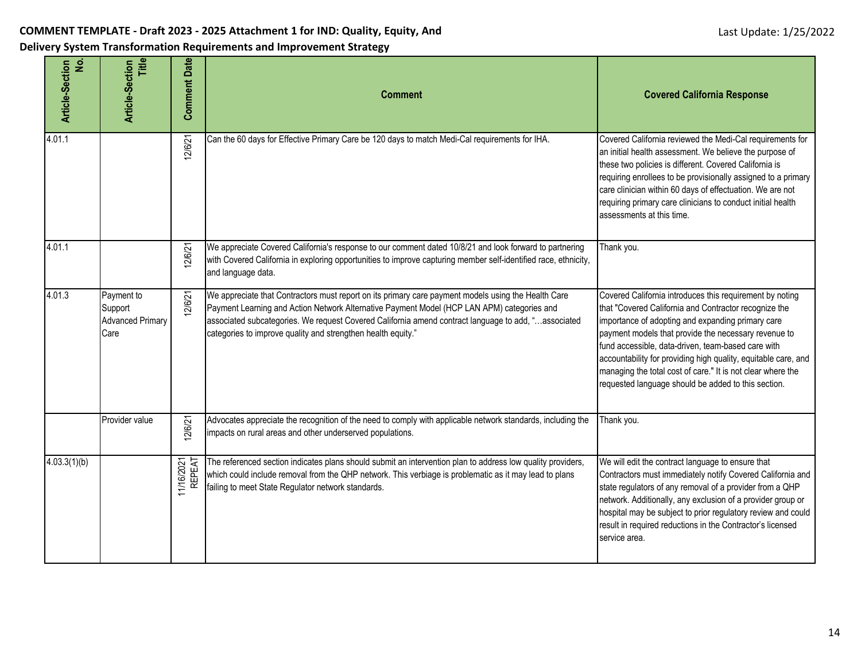| ė<br>Article-Section | Title<br><b>Article-Section</b>                          | <b>Comment Date</b>  | <b>Comment</b>                                                                                                                                                                                                                                                                                                                                                           | <b>Covered California Response</b>                                                                                                                                                                                                                                                                                                                                                                                                                                           |
|----------------------|----------------------------------------------------------|----------------------|--------------------------------------------------------------------------------------------------------------------------------------------------------------------------------------------------------------------------------------------------------------------------------------------------------------------------------------------------------------------------|------------------------------------------------------------------------------------------------------------------------------------------------------------------------------------------------------------------------------------------------------------------------------------------------------------------------------------------------------------------------------------------------------------------------------------------------------------------------------|
| 4.01.1               |                                                          | 12/6/21              | Can the 60 days for Effective Primary Care be 120 days to match Medi-Cal requirements for IHA.                                                                                                                                                                                                                                                                           | Covered California reviewed the Medi-Cal requirements for<br>an initial health assessment. We believe the purpose of<br>these two policies is different. Covered California is<br>requiring enrollees to be provisionally assigned to a primary<br>care clinician within 60 days of effectuation. We are not<br>requiring primary care clinicians to conduct initial health<br>assessments at this time.                                                                     |
| 4.01.1               |                                                          | 12/6/21              | We appreciate Covered California's response to our comment dated 10/8/21 and look forward to partnering<br>with Covered California in exploring opportunities to improve capturing member self-identified race, ethnicity,<br>and language data.                                                                                                                         | Thank you.                                                                                                                                                                                                                                                                                                                                                                                                                                                                   |
| 4.01.3               | Payment to<br>Support<br><b>Advanced Primary</b><br>Care | 12/6/21              | We appreciate that Contractors must report on its primary care payment models using the Health Care<br>Payment Learning and Action Network Alternative Payment Model (HCP LAN APM) categories and<br>associated subcategories. We request Covered California amend contract language to add, "associated<br>categories to improve quality and strengthen health equity." | Covered California introduces this requirement by noting<br>that "Covered California and Contractor recognize the<br>importance of adopting and expanding primary care<br>payment models that provide the necessary revenue to<br>fund accessible, data-driven, team-based care with<br>accountability for providing high quality, equitable care, and<br>managing the total cost of care." It is not clear where the<br>requested language should be added to this section. |
|                      | Provider value                                           | 12/6/21              | Advocates appreciate the recognition of the need to comply with applicable network standards, including the<br>impacts on rural areas and other underserved populations.                                                                                                                                                                                                 | Thank you.                                                                                                                                                                                                                                                                                                                                                                                                                                                                   |
| 4.03.3(1)(b)         |                                                          | 11/16/2021<br>REPEAT | The referenced section indicates plans should submit an intervention plan to address low quality providers,<br>which could include removal from the QHP network. This verbiage is problematic as it may lead to plans<br>failing to meet State Regulator network standards.                                                                                              | We will edit the contract language to ensure that<br>Contractors must immediately notify Covered California and<br>state regulators of any removal of a provider from a QHP<br>network. Additionally, any exclusion of a provider group or<br>hospital may be subject to prior regulatory review and could<br>result in required reductions in the Contractor's licensed<br>service area.                                                                                    |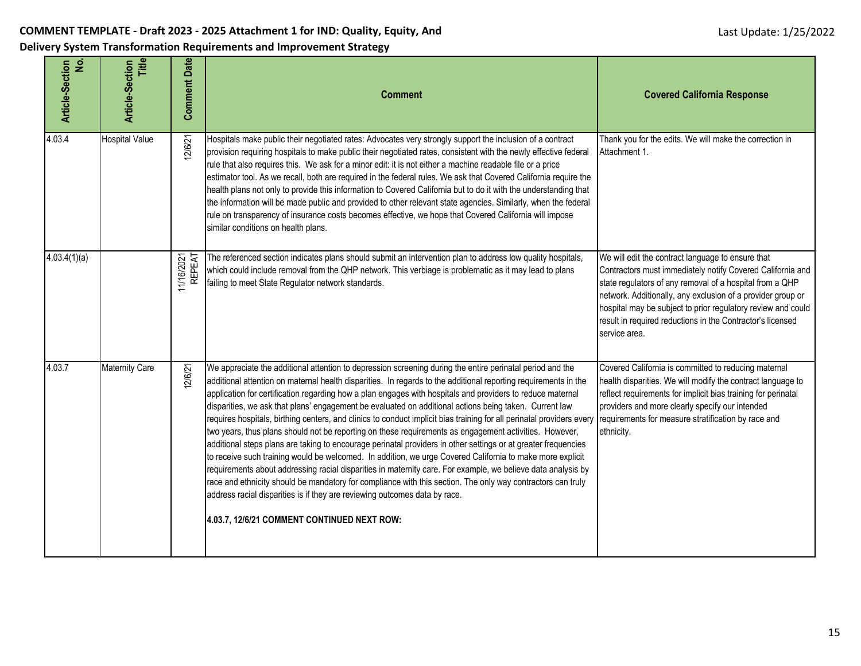| <u>ٰی</u><br>Article-Section | Title<br><b>Article-Section</b> | <b>Comment Date</b>  | <b>Comment</b>                                                                                                                                                                                                                                                                                                                                                                                                                                                                                                                                                                                                                                                                                                                                                                                                                                                                                                                                                                                                                                                                                                                                                                                                                                                                     | <b>Covered California Response</b>                                                                                                                                                                                                                                                                                                                                                        |
|------------------------------|---------------------------------|----------------------|------------------------------------------------------------------------------------------------------------------------------------------------------------------------------------------------------------------------------------------------------------------------------------------------------------------------------------------------------------------------------------------------------------------------------------------------------------------------------------------------------------------------------------------------------------------------------------------------------------------------------------------------------------------------------------------------------------------------------------------------------------------------------------------------------------------------------------------------------------------------------------------------------------------------------------------------------------------------------------------------------------------------------------------------------------------------------------------------------------------------------------------------------------------------------------------------------------------------------------------------------------------------------------|-------------------------------------------------------------------------------------------------------------------------------------------------------------------------------------------------------------------------------------------------------------------------------------------------------------------------------------------------------------------------------------------|
| 4.03.4                       | <b>Hospital Value</b>           | 12/6/21              | Hospitals make public their negotiated rates: Advocates very strongly support the inclusion of a contract<br>provision requiring hospitals to make public their negotiated rates, consistent with the newly effective federal<br>rule that also requires this. We ask for a minor edit: it is not either a machine readable file or a price<br>estimator tool. As we recall, both are required in the federal rules. We ask that Covered California require the<br>health plans not only to provide this information to Covered California but to do it with the understanding that<br>the information will be made public and provided to other relevant state agencies. Similarly, when the federal<br>rule on transparency of insurance costs becomes effective, we hope that Covered California will impose<br>similar conditions on health plans.                                                                                                                                                                                                                                                                                                                                                                                                                             | Thank you for the edits. We will make the correction in<br>Attachment 1.                                                                                                                                                                                                                                                                                                                  |
| 4.03.4(1)(a)                 |                                 | 11/16/2021<br>REPEAT | The referenced section indicates plans should submit an intervention plan to address low quality hospitals,<br>which could include removal from the QHP network. This verbiage is problematic as it may lead to plans<br>failing to meet State Regulator network standards.                                                                                                                                                                                                                                                                                                                                                                                                                                                                                                                                                                                                                                                                                                                                                                                                                                                                                                                                                                                                        | We will edit the contract language to ensure that<br>Contractors must immediately notify Covered California and<br>state regulators of any removal of a hospital from a QHP<br>network. Additionally, any exclusion of a provider group or<br>hospital may be subject to prior regulatory review and could<br>result in required reductions in the Contractor's licensed<br>service area. |
| 4.03.7                       | <b>Maternity Care</b>           | 12/6/21              | We appreciate the additional attention to depression screening during the entire perinatal period and the<br>additional attention on maternal health disparities. In regards to the additional reporting requirements in the<br>application for certification regarding how a plan engages with hospitals and providers to reduce maternal<br>disparities, we ask that plans' engagement be evaluated on additional actions being taken. Current law<br>requires hospitals, birthing centers, and clinics to conduct implicit bias training for all perinatal providers every<br>two years, thus plans should not be reporting on these requirements as engagement activities. However,<br>additional steps plans are taking to encourage perinatal providers in other settings or at greater frequencies<br>to receive such training would be welcomed. In addition, we urge Covered California to make more explicit<br>requirements about addressing racial disparities in maternity care. For example, we believe data analysis by<br>race and ethnicity should be mandatory for compliance with this section. The only way contractors can truly<br>address racial disparities is if they are reviewing outcomes data by race.<br>4.03.7, 12/6/21 COMMENT CONTINUED NEXT ROW: | Covered California is committed to reducing maternal<br>health disparities. We will modify the contract language to<br>reflect requirements for implicit bias training for perinatal<br>providers and more clearly specify our intended<br>requirements for measure stratification by race and<br>ethnicity.                                                                              |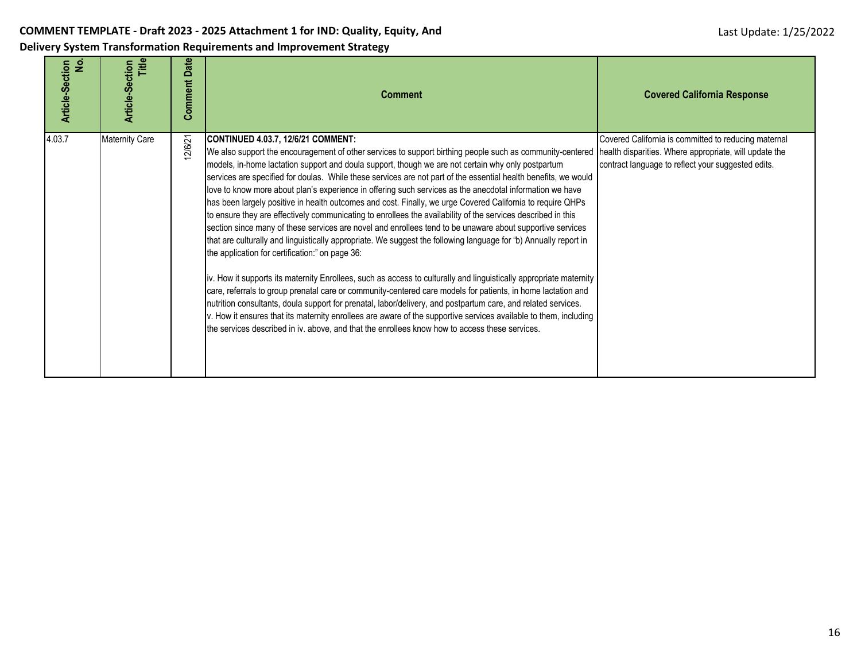| Delivery System Transformation Requirements and Improvement Strategy |  |
|----------------------------------------------------------------------|--|
|----------------------------------------------------------------------|--|

| $\dot{z}$<br>Article-Section | Title<br><b>Article-Section</b> | Date<br>Comment | <b>Comment</b>                                                                                                                                                                                                                                                                                                                                                                                                                                                                                                                                                                                                                                                                                                                                                                                                                                                                                                                                                                                                                                                                                                                                                                                                                                                                                                                                                                                                                                                                                                                                                                             | <b>Covered California Response</b>                                                                                                                                   |
|------------------------------|---------------------------------|-----------------|--------------------------------------------------------------------------------------------------------------------------------------------------------------------------------------------------------------------------------------------------------------------------------------------------------------------------------------------------------------------------------------------------------------------------------------------------------------------------------------------------------------------------------------------------------------------------------------------------------------------------------------------------------------------------------------------------------------------------------------------------------------------------------------------------------------------------------------------------------------------------------------------------------------------------------------------------------------------------------------------------------------------------------------------------------------------------------------------------------------------------------------------------------------------------------------------------------------------------------------------------------------------------------------------------------------------------------------------------------------------------------------------------------------------------------------------------------------------------------------------------------------------------------------------------------------------------------------------|----------------------------------------------------------------------------------------------------------------------------------------------------------------------|
| 4.03.7                       | <b>Maternity Care</b>           | 2/6/21          | <b>CONTINUED 4.03.7, 12/6/21 COMMENT:</b><br>We also support the encouragement of other services to support birthing people such as community-centered<br>models, in-home lactation support and doula support, though we are not certain why only postpartum<br>services are specified for doulas. While these services are not part of the essential health benefits, we would<br>love to know more about plan's experience in offering such services as the anecdotal information we have<br>has been largely positive in health outcomes and cost. Finally, we urge Covered California to require QHPs<br>to ensure they are effectively communicating to enrollees the availability of the services described in this<br>section since many of these services are novel and enrollees tend to be unaware about supportive services<br>that are culturally and linguistically appropriate. We suggest the following language for "b) Annually report in<br>the application for certification:" on page 36:<br>iv. How it supports its maternity Enrollees, such as access to culturally and linguistically appropriate maternity<br>care, referrals to group prenatal care or community-centered care models for patients, in home lactation and<br>nutrition consultants, doula support for prenatal, labor/delivery, and postpartum care, and related services.<br>v. How it ensures that its maternity enrollees are aware of the supportive services available to them, including<br>the services described in iv. above, and that the enrollees know how to access these services. | Covered California is committed to reducing maternal<br>health disparities. Where appropriate, will update the<br>contract language to reflect your suggested edits. |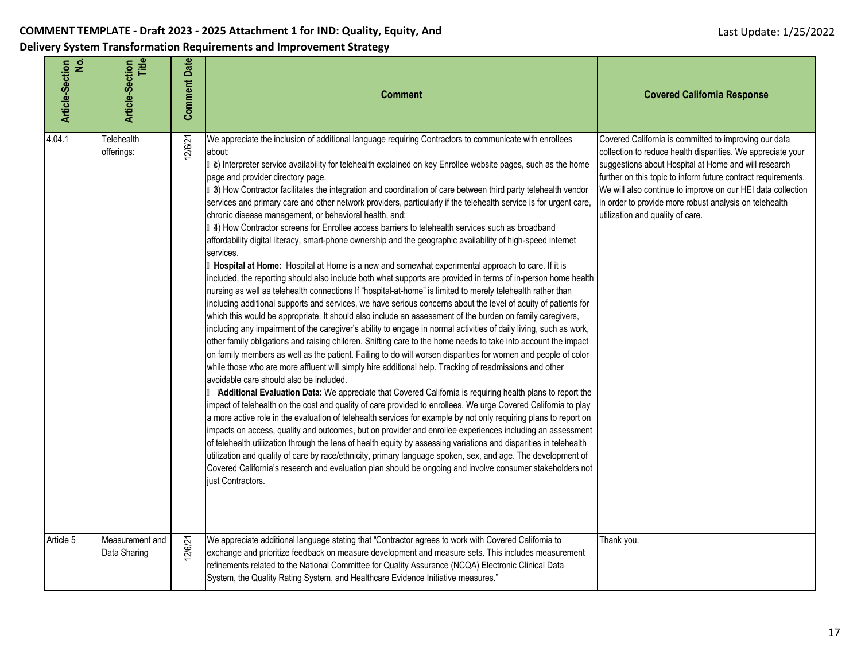**Delivery System Transformation Requirements and Improvement Strategy**

| ė<br><b>Article-Section</b> | Title<br><b>Article-Section</b> | <b>Comment Date</b> | <b>Comment</b>                                                                                                                                                                                                                                                                                                                                                                                                                                                                                                                                                                                                                                                                                                                                                                                                                                                                                                                                                                                                                                                                                                                                                                                                                                                                                                                                                                                                                                                                                                                                                                                                                                                                                                                                                                                                                                                                                                                                                                                                                                                                                                                                                                                                                                                                                                                                                                                                                                                                                                                                                                                                                                                                                                               | <b>Covered California Response</b>                                                                                                                                                                                                                                                                                                                                                                         |
|-----------------------------|---------------------------------|---------------------|------------------------------------------------------------------------------------------------------------------------------------------------------------------------------------------------------------------------------------------------------------------------------------------------------------------------------------------------------------------------------------------------------------------------------------------------------------------------------------------------------------------------------------------------------------------------------------------------------------------------------------------------------------------------------------------------------------------------------------------------------------------------------------------------------------------------------------------------------------------------------------------------------------------------------------------------------------------------------------------------------------------------------------------------------------------------------------------------------------------------------------------------------------------------------------------------------------------------------------------------------------------------------------------------------------------------------------------------------------------------------------------------------------------------------------------------------------------------------------------------------------------------------------------------------------------------------------------------------------------------------------------------------------------------------------------------------------------------------------------------------------------------------------------------------------------------------------------------------------------------------------------------------------------------------------------------------------------------------------------------------------------------------------------------------------------------------------------------------------------------------------------------------------------------------------------------------------------------------------------------------------------------------------------------------------------------------------------------------------------------------------------------------------------------------------------------------------------------------------------------------------------------------------------------------------------------------------------------------------------------------------------------------------------------------------------------------------------------------|------------------------------------------------------------------------------------------------------------------------------------------------------------------------------------------------------------------------------------------------------------------------------------------------------------------------------------------------------------------------------------------------------------|
| 4.04.1                      | Telehealth<br>offerings:        | 12/6/21             | We appreciate the inclusion of additional language requiring Contractors to communicate with enrollees<br>about:<br>tc) Interpreter service availability for telehealth explained on key Enrollee website pages, such as the home<br>page and provider directory page.<br>B) How Contractor facilitates the integration and coordination of care between third party telehealth vendor<br>services and primary care and other network providers, particularly if the telehealth service is for urgent care,<br>chronic disease management, or behavioral health, and;<br>4) How Contractor screens for Enrollee access barriers to telehealth services such as broadband<br>affordability digital literacy, smart-phone ownership and the geographic availability of high-speed internet<br>services.<br>Hospital at Home: Hospital at Home is a new and somewhat experimental approach to care. If it is<br>included, the reporting should also include both what supports are provided in terms of in-person home health<br>nursing as well as telehealth connections If "hospital-at-home" is limited to merely telehealth rather than<br>including additional supports and services, we have serious concerns about the level of acuity of patients for<br>which this would be appropriate. It should also include an assessment of the burden on family caregivers,<br>including any impairment of the caregiver's ability to engage in normal activities of daily living, such as work,<br>other family obligations and raising children. Shifting care to the home needs to take into account the impact<br>on family members as well as the patient. Failing to do will worsen disparities for women and people of color<br>while those who are more affluent will simply hire additional help. Tracking of readmissions and other<br>avoidable care should also be included.<br>Additional Evaluation Data: We appreciate that Covered California is requiring health plans to report the<br>impact of telehealth on the cost and quality of care provided to enrollees. We urge Covered California to play<br>a more active role in the evaluation of telehealth services for example by not only requiring plans to report on<br>impacts on access, quality and outcomes, but on provider and enrollee experiences including an assessment<br>of telehealth utilization through the lens of health equity by assessing variations and disparities in telehealth<br>utilization and quality of care by race/ethnicity, primary language spoken, sex, and age. The development of<br>Covered California's research and evaluation plan should be ongoing and involve consumer stakeholders not<br>just Contractors. | Covered California is committed to improving our data<br>collection to reduce health disparities. We appreciate your<br>suggestions about Hospital at Home and will research<br>further on this topic to inform future contract requirements.<br>We will also continue to improve on our HEI data collection<br>in order to provide more robust analysis on telehealth<br>utilization and quality of care. |
| Article 5                   | Measurement and<br>Data Sharing | 12/6/21             | We appreciate additional language stating that "Contractor agrees to work with Covered California to<br>exchange and prioritize feedback on measure development and measure sets. This includes measurement<br>refinements related to the National Committee for Quality Assurance (NCQA) Electronic Clinical Data<br>System, the Quality Rating System, and Healthcare Evidence Initiative measures."                                                                                                                                                                                                                                                                                                                                                                                                                                                                                                                                                                                                                                                                                                                                                                                                                                                                                                                                                                                                                                                                                                                                                                                                                                                                                                                                                                                                                                                                                                                                                                                                                                                                                                                                                                                                                                                                                                                                                                                                                                                                                                                                                                                                                                                                                                                       | Thank you.                                                                                                                                                                                                                                                                                                                                                                                                 |